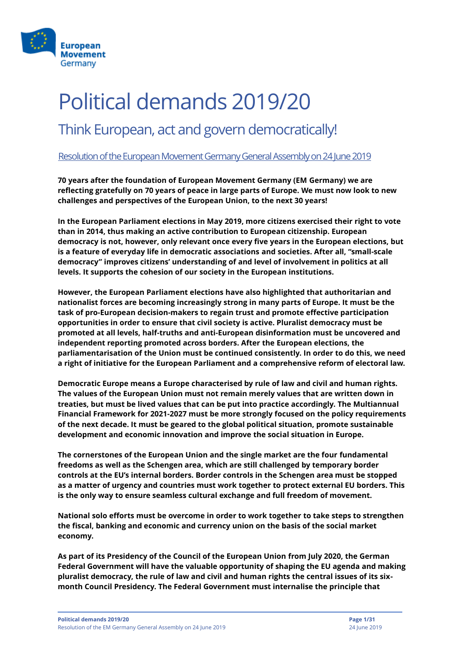

# Political demands 2019/20

### Think European, act and govern democratically!

#### Resolutionof the European Movement Germany General Assembly on 24 June 2019

**70 years after the foundation of European Movement Germany (EM Germany) we are reflecting gratefully on 70 years of peace in large parts of Europe. We must now look to new challenges and perspectives of the European Union, to the next 30 years!** 

**In the European Parliament elections in May 2019, more citizens exercised their right to vote than in 2014, thus making an active contribution to European citizenship. European democracy is not, however, only relevant once every five years in the European elections, but is a feature of everyday life in democratic associations and societies. After all, "small-scale democracy" improves citizens' understanding of and level of involvement in politics at all levels. It supports the cohesion of our society in the European institutions.** 

**However, the European Parliament elections have also highlighted that authoritarian and nationalist forces are becoming increasingly strong in many parts of Europe. It must be the task of pro-European decision-makers to regain trust and promote effective participation opportunities in order to ensure that civil society is active. Pluralist democracy must be promoted at all levels, half-truths and anti-European disinformation must be uncovered and independent reporting promoted across borders. After the European elections, the parliamentarisation of the Union must be continued consistently. In order to do this, we need a right of initiative for the European Parliament and a comprehensive reform of electoral law.**

**Democratic Europe means a Europe characterised by rule of law and civil and human rights. The values of the European Union must not remain merely values that are written down in treaties, but must be lived values that can be put into practice accordingly. The Multiannual Financial Framework for 2021-2027 must be more strongly focused on the policy requirements of the next decade. It must be geared to the global political situation, promote sustainable development and economic innovation and improve the social situation in Europe.**

**The cornerstones of the European Union and the single market are the four fundamental freedoms as well as the Schengen area, which are still challenged by temporary border controls at the EU's internal borders. Border controls in the Schengen area must be stopped as a matter of urgency and countries must work together to protect external EU borders. This is the only way to ensure seamless cultural exchange and full freedom of movement.**

**National solo efforts must be overcome in order to work together to take steps to strengthen the fiscal, banking and economic and currency union on the basis of the social market economy.** 

**As part of its Presidency of the Council of the European Union from July 2020, the German Federal Government will have the valuable opportunity of shaping the EU agenda and making pluralist democracy, the rule of law and civil and human rights the central issues of its sixmonth Council Presidency. The Federal Government must internalise the principle that**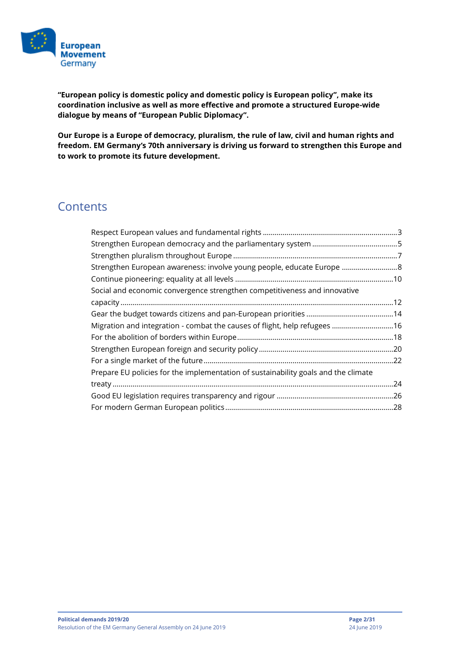

**"European policy is domestic policy and domestic policy is European policy", make its coordination inclusive as well as more effective and promote a structured Europe-wide dialogue by means of "European Public Diplomacy".**

**Our Europe is a Europe of democracy, pluralism, the rule of law, civil and human rights and freedom. EM Germany's 70th anniversary is driving us forward to strengthen this Europe and to work to promote its future development.**

### **Contents**

| Strengthen European awareness: involve young people, educate Europe 8              |     |
|------------------------------------------------------------------------------------|-----|
|                                                                                    |     |
| Social and economic convergence strengthen competitiveness and innovative          |     |
|                                                                                    |     |
|                                                                                    |     |
| Migration and integration - combat the causes of flight, help refugees  16         |     |
|                                                                                    |     |
|                                                                                    |     |
|                                                                                    |     |
| Prepare EU policies for the implementation of sustainability goals and the climate |     |
|                                                                                    | .24 |
|                                                                                    |     |
|                                                                                    |     |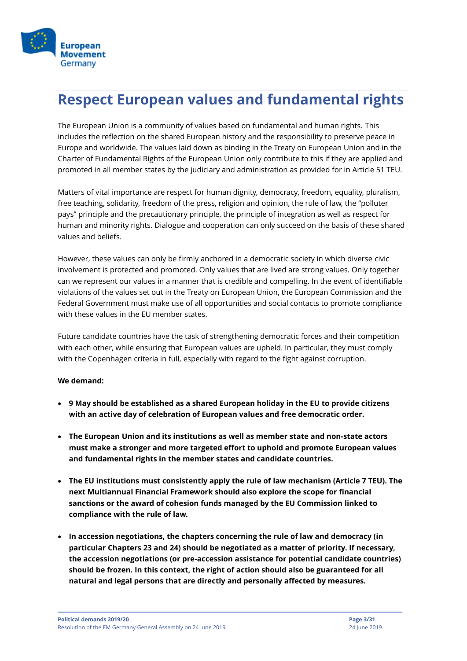

### <span id="page-2-0"></span>**Respect European values and fundamental rights**

The European Union is a community of values based on fundamental and human rights. This includes the reflection on the shared European history and the responsibility to preserve peace in Europe and worldwide. The values laid down as binding in the Treaty on European Union and in the Charter of Fundamental Rights of the European Union only contribute to this if they are applied and promoted in all member states by the judiciary and administration as provided for in Article 51 TEU.

Matters of vital importance are respect for human dignity, democracy, freedom, equality, pluralism, free teaching, solidarity, freedom of the press, religion and opinion, the rule of law, the "polluter pays" principle and the precautionary principle, the principle of integration as well as respect for human and minority rights. Dialogue and cooperation can only succeed on the basis of these shared values and beliefs.

However, these values can only be firmly anchored in a democratic society in which diverse civic involvement is protected and promoted. Only values that are lived are strong values. Only together can we represent our values in a manner that is credible and compelling. In the event of identifiable violations of the values set out in the Treaty on European Union, the European Commission and the Federal Government must make use of all opportunities and social contacts to promote compliance with these values in the EU member states.

Future candidate countries have the task of strengthening democratic forces and their competition with each other, while ensuring that European values are upheld. In particular, they must comply with the Copenhagen criteria in full, especially with regard to the fight against corruption.

- **9 May should be established as a shared European holiday in the EU to provide citizens with an active day of celebration of European values and free democratic order.**
- **The European Union and its institutions as well as member state and non-state actors must make a stronger and more targeted effort to uphold and promote European values and fundamental rights in the member states and candidate countries.**
- **The EU institutions must consistently apply the rule of law mechanism (Article 7 TEU). The next Multiannual Financial Framework should also explore the scope for financial sanctions or the award of cohesion funds managed by the EU Commission linked to compliance with the rule of law.**
- **In accession negotiations, the chapters concerning the rule of law and democracy (in particular Chapters 23 and 24) should be negotiated as a matter of priority. If necessary, the accession negotiations (or pre-accession assistance for potential candidate countries) should be frozen. In this context, the right of action should also be guaranteed for all natural and legal persons that are directly and personally affected by measures.**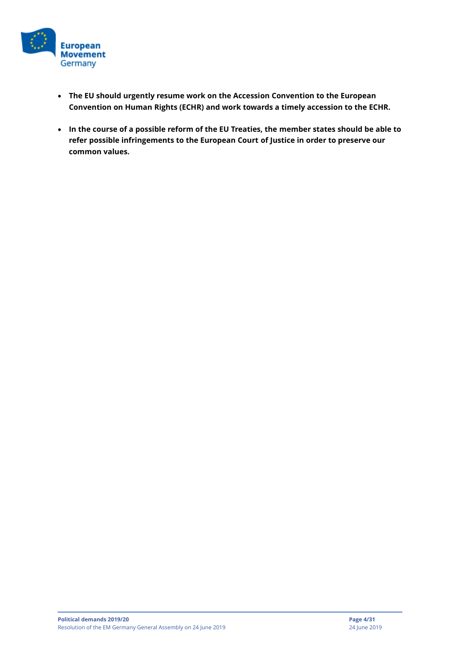

- **The EU should urgently resume work on the Accession Convention to the European Convention on Human Rights (ECHR) and work towards a timely accession to the ECHR.**
- **In the course of a possible reform of the EU Treaties, the member states should be able to refer possible infringements to the European Court of Justice in order to preserve our common values.**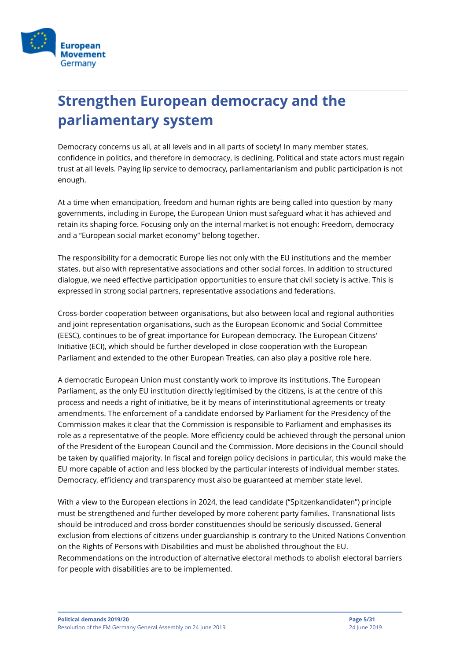

# <span id="page-4-0"></span>**Strengthen European democracy and the parliamentary system**

Democracy concerns us all, at all levels and in all parts of society! In many member states, confidence in politics, and therefore in democracy, is declining. Political and state actors must regain trust at all levels. Paying lip service to democracy, parliamentarianism and public participation is not enough.

At a time when emancipation, freedom and human rights are being called into question by many governments, including in Europe, the European Union must safeguard what it has achieved and retain its shaping force. Focusing only on the internal market is not enough: Freedom, democracy and a "European social market economy" belong together.

The responsibility for a democratic Europe lies not only with the EU institutions and the member states, but also with representative associations and other social forces. In addition to structured dialogue, we need effective participation opportunities to ensure that civil society is active. This is expressed in strong social partners, representative associations and federations.

Cross-border cooperation between organisations, but also between local and regional authorities and joint representation organisations, such as the European Economic and Social Committee (EESC), continues to be of great importance for European democracy. The European Citizens' Initiative (ECI), which should be further developed in close cooperation with the European Parliament and extended to the other European Treaties, can also play a positive role here.

A democratic European Union must constantly work to improve its institutions. The European Parliament, as the only EU institution directly legitimised by the citizens, is at the centre of this process and needs a right of initiative, be it by means of interinstitutional agreements or treaty amendments. The enforcement of a candidate endorsed by Parliament for the Presidency of the Commission makes it clear that the Commission is responsible to Parliament and emphasises its role as a representative of the people. More efficiency could be achieved through the personal union of the President of the European Council and the Commission. More decisions in the Council should be taken by qualified majority. In fiscal and foreign policy decisions in particular, this would make the EU more capable of action and less blocked by the particular interests of individual member states. Democracy, efficiency and transparency must also be guaranteed at member state level.

With a view to the European elections in 2024, the lead candidate ("Spitzenkandidaten") principle must be strengthened and further developed by more coherent party families. Transnational lists should be introduced and cross-border constituencies should be seriously discussed. General exclusion from elections of citizens under guardianship is contrary to the United Nations Convention on the Rights of Persons with Disabilities and must be abolished throughout the EU. Recommendations on the introduction of alternative electoral methods to abolish electoral barriers for people with disabilities are to be implemented.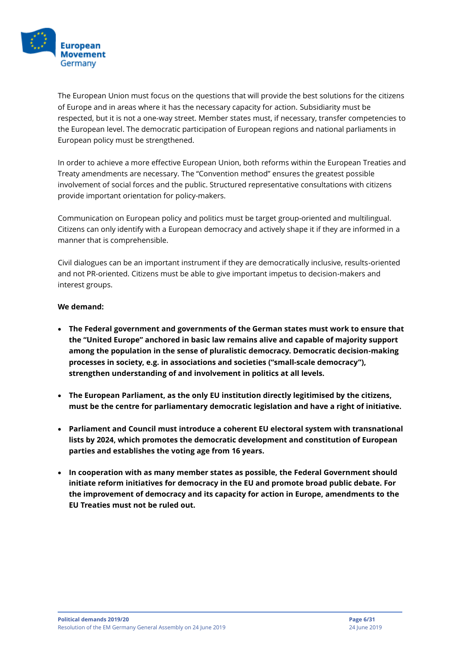

The European Union must focus on the questions that will provide the best solutions for the citizens of Europe and in areas where it has the necessary capacity for action. Subsidiarity must be respected, but it is not a one-way street. Member states must, if necessary, transfer competencies to the European level. The democratic participation of European regions and national parliaments in European policy must be strengthened.

In order to achieve a more effective European Union, both reforms within the European Treaties and Treaty amendments are necessary. The "Convention method" ensures the greatest possible involvement of social forces and the public. Structured representative consultations with citizens provide important orientation for policy-makers.

Communication on European policy and politics must be target group-oriented and multilingual. Citizens can only identify with a European democracy and actively shape it if they are informed in a manner that is comprehensible.

Civil dialogues can be an important instrument if they are democratically inclusive, results-oriented and not PR-oriented. Citizens must be able to give important impetus to decision-makers and interest groups.

- **The Federal government and governments of the German states must work to ensure that the "United Europe" anchored in basic law remains alive and capable of majority support among the population in the sense of pluralistic democracy. Democratic decision-making processes in society, e.g. in associations and societies ("small-scale democracy"), strengthen understanding of and involvement in politics at all levels.**
- **The European Parliament, as the only EU institution directly legitimised by the citizens, must be the centre for parliamentary democratic legislation and have a right of initiative.**
- **Parliament and Council must introduce a coherent EU electoral system with transnational lists by 2024, which promotes the democratic development and constitution of European parties and establishes the voting age from 16 years.**
- **In cooperation with as many member states as possible, the Federal Government should initiate reform initiatives for democracy in the EU and promote broad public debate. For the improvement of democracy and its capacity for action in Europe, amendments to the EU Treaties must not be ruled out.**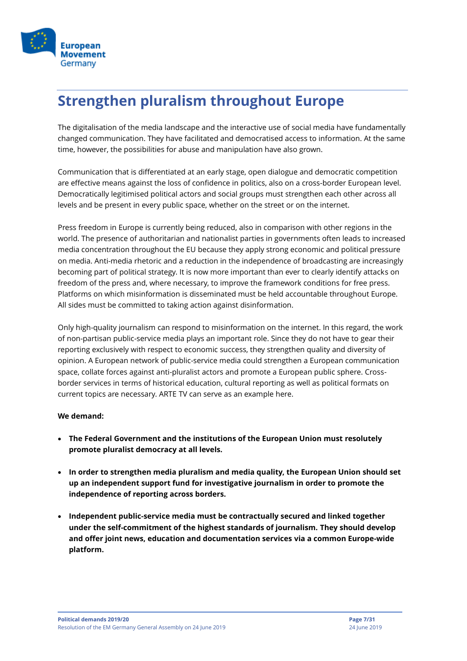

### <span id="page-6-0"></span>**Strengthen pluralism throughout Europe**

The digitalisation of the media landscape and the interactive use of social media have fundamentally changed communication. They have facilitated and democratised access to information. At the same time, however, the possibilities for abuse and manipulation have also grown.

Communication that is differentiated at an early stage, open dialogue and democratic competition are effective means against the loss of confidence in politics, also on a cross-border European level. Democratically legitimised political actors and social groups must strengthen each other across all levels and be present in every public space, whether on the street or on the internet.

Press freedom in Europe is currently being reduced, also in comparison with other regions in the world. The presence of authoritarian and nationalist parties in governments often leads to increased media concentration throughout the EU because they apply strong economic and political pressure on media. Anti-media rhetoric and a reduction in the independence of broadcasting are increasingly becoming part of political strategy. It is now more important than ever to clearly identify attacks on freedom of the press and, where necessary, to improve the framework conditions for free press. Platforms on which misinformation is disseminated must be held accountable throughout Europe. All sides must be committed to taking action against disinformation.

Only high-quality journalism can respond to misinformation on the internet. In this regard, the work of non-partisan public-service media plays an important role. Since they do not have to gear their reporting exclusively with respect to economic success, they strengthen quality and diversity of opinion. A European network of public-service media could strengthen a European communication space, collate forces against anti-pluralist actors and promote a European public sphere. Crossborder services in terms of historical education, cultural reporting as well as political formats on current topics are necessary. ARTE TV can serve as an example here.

- **The Federal Government and the institutions of the European Union must resolutely promote pluralist democracy at all levels.**
- **In order to strengthen media pluralism and media quality, the European Union should set up an independent support fund for investigative journalism in order to promote the independence of reporting across borders.**
- **Independent public-service media must be contractually secured and linked together under the self-commitment of the highest standards of journalism. They should develop and offer joint news, education and documentation services via a common Europe-wide platform.**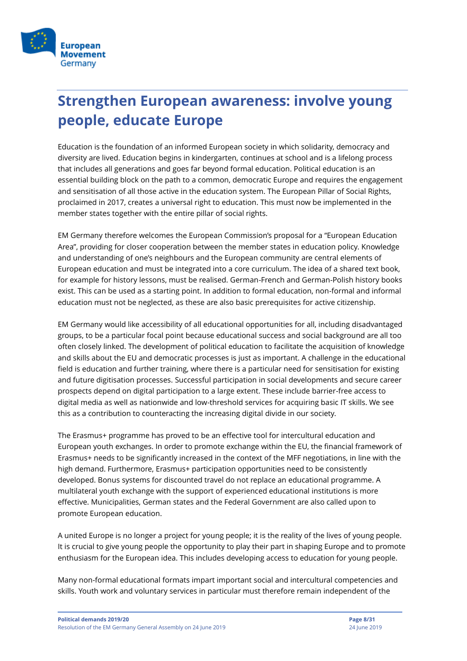

# <span id="page-7-0"></span>**Strengthen European awareness: involve young people, educate Europe**

Education is the foundation of an informed European society in which solidarity, democracy and diversity are lived. Education begins in kindergarten, continues at school and is a lifelong process that includes all generations and goes far beyond formal education. Political education is an essential building block on the path to a common, democratic Europe and requires the engagement and sensitisation of all those active in the education system. The European Pillar of Social Rights, proclaimed in 2017, creates a universal right to education. This must now be implemented in the member states together with the entire pillar of social rights.

EM Germany therefore welcomes the European Commission's proposal for a "European Education Area", providing for closer cooperation between the member states in education policy. Knowledge and understanding of one's neighbours and the European community are central elements of European education and must be integrated into a core curriculum. The idea of a shared text book, for example for history lessons, must be realised. German-French and German-Polish history books exist. This can be used as a starting point. In addition to formal education, non-formal and informal education must not be neglected, as these are also basic prerequisites for active citizenship.

EM Germany would like accessibility of all educational opportunities for all, including disadvantaged groups, to be a particular focal point because educational success and social background are all too often closely linked. The development of political education to facilitate the acquisition of knowledge and skills about the EU and democratic processes is just as important. A challenge in the educational field is education and further training, where there is a particular need for sensitisation for existing and future digitisation processes. Successful participation in social developments and secure career prospects depend on digital participation to a large extent. These include barrier-free access to digital media as well as nationwide and low-threshold services for acquiring basic IT skills. We see this as a contribution to counteracting the increasing digital divide in our society.

The Erasmus+ programme has proved to be an effective tool for intercultural education and European youth exchanges. In order to promote exchange within the EU, the financial framework of Erasmus+ needs to be significantly increased in the context of the MFF negotiations, in line with the high demand. Furthermore, Erasmus+ participation opportunities need to be consistently developed. Bonus systems for discounted travel do not replace an educational programme. A multilateral youth exchange with the support of experienced educational institutions is more effective. Municipalities, German states and the Federal Government are also called upon to promote European education.

A united Europe is no longer a project for young people; it is the reality of the lives of young people. It is crucial to give young people the opportunity to play their part in shaping Europe and to promote enthusiasm for the European idea. This includes developing access to education for young people.

Many non-formal educational formats impart important social and intercultural competencies and skills. Youth work and voluntary services in particular must therefore remain independent of the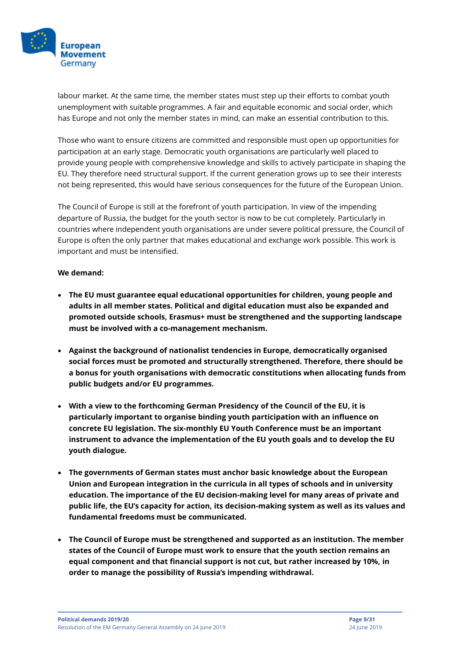

labour market. At the same time, the member states must step up their efforts to combat youth unemployment with suitable programmes. A fair and equitable economic and social order, which has Europe and not only the member states in mind, can make an essential contribution to this.

Those who want to ensure citizens are committed and responsible must open up opportunities for participation at an early stage. Democratic youth organisations are particularly well placed to provide young people with comprehensive knowledge and skills to actively participate in shaping the EU. They therefore need structural support. If the current generation grows up to see their interests not being represented, this would have serious consequences for the future of the European Union.

The Council of Europe is still at the forefront of youth participation. In view of the impending departure of Russia, the budget for the youth sector is now to be cut completely. Particularly in countries where independent youth organisations are under severe political pressure, the Council of Europe is often the only partner that makes educational and exchange work possible. This work is important and must be intensified.

- **The EU must guarantee equal educational opportunities for children, young people and adults in all member states. Political and digital education must also be expanded and promoted outside schools, Erasmus+ must be strengthened and the supporting landscape must be involved with a co-management mechanism.**
- **Against the background of nationalist tendencies in Europe, democratically organised social forces must be promoted and structurally strengthened. Therefore, there should be a bonus for youth organisations with democratic constitutions when allocating funds from public budgets and/or EU programmes.**
- **With a view to the forthcoming German Presidency of the Council of the EU, it is particularly important to organise binding youth participation with an influence on concrete EU legislation. The six-monthly EU Youth Conference must be an important instrument to advance the implementation of the EU youth goals and to develop the EU youth dialogue.**
- **The governments of German states must anchor basic knowledge about the European Union and European integration in the curricula in all types of schools and in university education. The importance of the EU decision-making level for many areas of private and public life, the EU's capacity for action, its decision-making system as well as its values and fundamental freedoms must be communicated.**
- **The Council of Europe must be strengthened and supported as an institution. The member states of the Council of Europe must work to ensure that the youth section remains an equal component and that financial support is not cut, but rather increased by 10%, in order to manage the possibility of Russia's impending withdrawal.**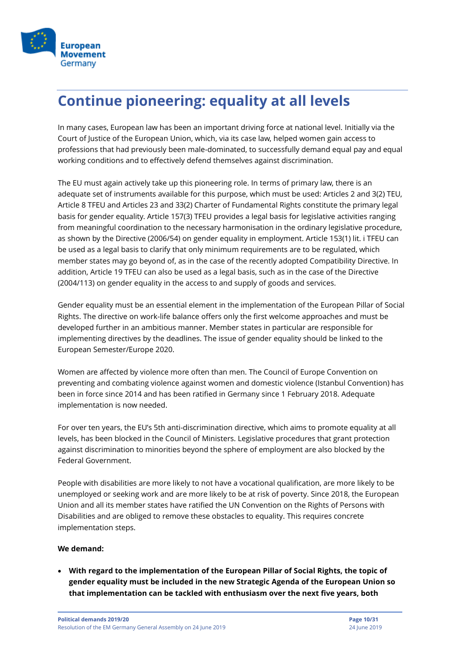

## <span id="page-9-0"></span>**Continue pioneering: equality at all levels**

In many cases, European law has been an important driving force at national level. Initially via the Court of Justice of the European Union, which, via its case law, helped women gain access to professions that had previously been male-dominated, to successfully demand equal pay and equal working conditions and to effectively defend themselves against discrimination.

The EU must again actively take up this pioneering role. In terms of primary law, there is an adequate set of instruments available for this purpose, which must be used: Articles 2 and 3(2) TEU, Article 8 TFEU and Articles 23 and 33(2) Charter of Fundamental Rights constitute the primary legal basis for gender equality. Article 157(3) TFEU provides a legal basis for legislative activities ranging from meaningful coordination to the necessary harmonisation in the ordinary legislative procedure, as shown by the Directive (2006/54) on gender equality in employment. Article 153(1) lit. i TFEU can be used as a legal basis to clarify that only minimum requirements are to be regulated, which member states may go beyond of, as in the case of the recently adopted Compatibility Directive. In addition, Article 19 TFEU can also be used as a legal basis, such as in the case of the Directive (2004/113) on gender equality in the access to and supply of goods and services.

Gender equality must be an essential element in the implementation of the European Pillar of Social Rights. The directive on work-life balance offers only the first welcome approaches and must be developed further in an ambitious manner. Member states in particular are responsible for implementing directives by the deadlines. The issue of gender equality should be linked to the European Semester/Europe 2020.

Women are affected by violence more often than men. The Council of Europe Convention on preventing and combating violence against women and domestic violence (Istanbul Convention) has been in force since 2014 and has been ratified in Germany since 1 February 2018. Adequate implementation is now needed.

For over ten years, the EU's 5th anti-discrimination directive, which aims to promote equality at all levels, has been blocked in the Council of Ministers. Legislative procedures that grant protection against discrimination to minorities beyond the sphere of employment are also blocked by the Federal Government.

People with disabilities are more likely to not have a vocational qualification, are more likely to be unemployed or seeking work and are more likely to be at risk of poverty. Since 2018, the European Union and all its member states have ratified the UN Convention on the Rights of Persons with Disabilities and are obliged to remove these obstacles to equality. This requires concrete implementation steps.

#### **We demand:**

• **With regard to the implementation of the European Pillar of Social Rights, the topic of gender equality must be included in the new Strategic Agenda of the European Union so that implementation can be tackled with enthusiasm over the next five years, both**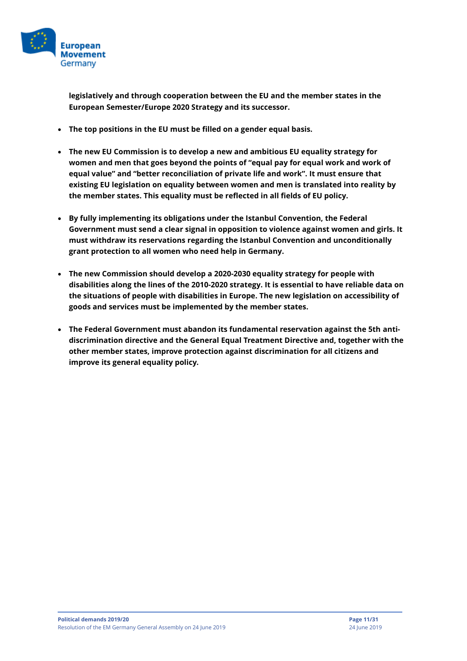

**legislatively and through cooperation between the EU and the member states in the European Semester/Europe 2020 Strategy and its successor.** 

- **The top positions in the EU must be filled on a gender equal basis.**
- **The new EU Commission is to develop a new and ambitious EU equality strategy for women and men that goes beyond the points of "equal pay for equal work and work of equal value" and "better reconciliation of private life and work". It must ensure that existing EU legislation on equality between women and men is translated into reality by the member states. This equality must be reflected in all fields of EU policy.**
- **By fully implementing its obligations under the Istanbul Convention, the Federal Government must send a clear signal in opposition to violence against women and girls. It must withdraw its reservations regarding the Istanbul Convention and unconditionally grant protection to all women who need help in Germany.**
- **The new Commission should develop a 2020-2030 equality strategy for people with disabilities along the lines of the 2010-2020 strategy. It is essential to have reliable data on the situations of people with disabilities in Europe. The new legislation on accessibility of goods and services must be implemented by the member states.**
- **The Federal Government must abandon its fundamental reservation against the 5th antidiscrimination directive and the General Equal Treatment Directive and, together with the other member states, improve protection against discrimination for all citizens and improve its general equality policy.**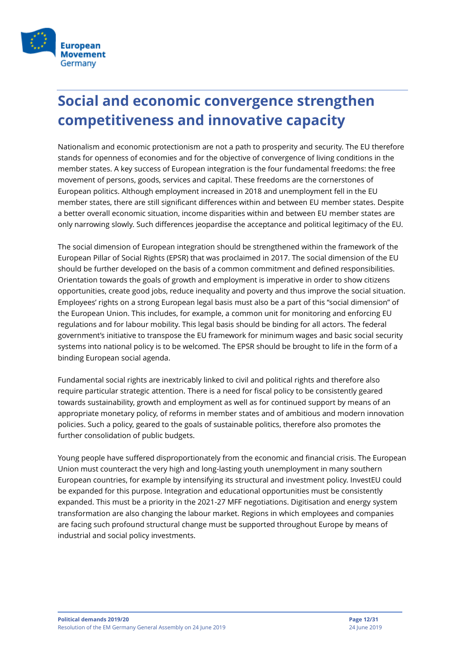

# <span id="page-11-0"></span>**Social and economic convergence strengthen competitiveness and innovative capacity**

Nationalism and economic protectionism are not a path to prosperity and security. The EU therefore stands for openness of economies and for the objective of convergence of living conditions in the member states. A key success of European integration is the four fundamental freedoms: the free movement of persons, goods, services and capital. These freedoms are the cornerstones of European politics. Although employment increased in 2018 and unemployment fell in the EU member states, there are still significant differences within and between EU member states. Despite a better overall economic situation, income disparities within and between EU member states are only narrowing slowly. Such differences jeopardise the acceptance and political legitimacy of the EU.

The social dimension of European integration should be strengthened within the framework of the European Pillar of Social Rights (EPSR) that was proclaimed in 2017. The social dimension of the EU should be further developed on the basis of a common commitment and defined responsibilities. Orientation towards the goals of growth and employment is imperative in order to show citizens opportunities, create good jobs, reduce inequality and poverty and thus improve the social situation. Employees' rights on a strong European legal basis must also be a part of this "social dimension" of the European Union. This includes, for example, a common unit for monitoring and enforcing EU regulations and for labour mobility. This legal basis should be binding for all actors. The federal government's initiative to transpose the EU framework for minimum wages and basic social security systems into national policy is to be welcomed. The EPSR should be brought to life in the form of a binding European social agenda.

Fundamental social rights are inextricably linked to civil and political rights and therefore also require particular strategic attention. There is a need for fiscal policy to be consistently geared towards sustainability, growth and employment as well as for continued support by means of an appropriate monetary policy, of reforms in member states and of ambitious and modern innovation policies. Such a policy, geared to the goals of sustainable politics, therefore also promotes the further consolidation of public budgets.

Young people have suffered disproportionately from the economic and financial crisis. The European Union must counteract the very high and long-lasting youth unemployment in many southern European countries, for example by intensifying its structural and investment policy. InvestEU could be expanded for this purpose. Integration and educational opportunities must be consistently expanded. This must be a priority in the 2021-27 MFF negotiations. Digitisation and energy system transformation are also changing the labour market. Regions in which employees and companies are facing such profound structural change must be supported throughout Europe by means of industrial and social policy investments.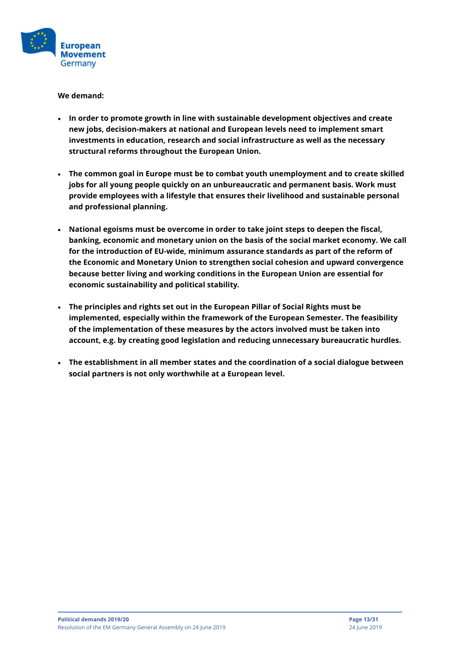

- **In order to promote growth in line with sustainable development objectives and create new jobs, decision-makers at national and European levels need to implement smart investments in education, research and social infrastructure as well as the necessary structural reforms throughout the European Union.**
- **The common goal in Europe must be to combat youth unemployment and to create skilled jobs for all young people quickly on an unbureaucratic and permanent basis. Work must provide employees with a lifestyle that ensures their livelihood and sustainable personal and professional planning.**
- **National egoisms must be overcome in order to take joint steps to deepen the fiscal, banking, economic and monetary union on the basis of the social market economy. We call for the introduction of EU-wide, minimum assurance standards as part of the reform of the Economic and Monetary Union to strengthen social cohesion and upward convergence because better living and working conditions in the European Union are essential for economic sustainability and political stability.**
- **The principles and rights set out in the European Pillar of Social Rights must be implemented, especially within the framework of the European Semester. The feasibility of the implementation of these measures by the actors involved must be taken into account, e.g. by creating good legislation and reducing unnecessary bureaucratic hurdles.**
- **The establishment in all member states and the coordination of a social dialogue between social partners is not only worthwhile at a European level.**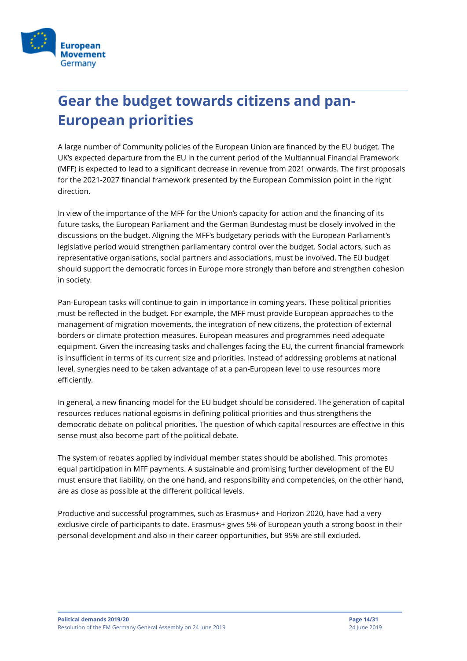

# <span id="page-13-0"></span>**Gear the budget towards citizens and pan-European priorities**

A large number of Community policies of the European Union are financed by the EU budget. The UK's expected departure from the EU in the current period of the Multiannual Financial Framework (MFF) is expected to lead to a significant decrease in revenue from 2021 onwards. The first proposals for the 2021-2027 financial framework presented by the European Commission point in the right direction.

In view of the importance of the MFF for the Union's capacity for action and the financing of its future tasks, the European Parliament and the German Bundestag must be closely involved in the discussions on the budget. Aligning the MFF's budgetary periods with the European Parliament's legislative period would strengthen parliamentary control over the budget. Social actors, such as representative organisations, social partners and associations, must be involved. The EU budget should support the democratic forces in Europe more strongly than before and strengthen cohesion in society.

Pan-European tasks will continue to gain in importance in coming years. These political priorities must be reflected in the budget. For example, the MFF must provide European approaches to the management of migration movements, the integration of new citizens, the protection of external borders or climate protection measures. European measures and programmes need adequate equipment. Given the increasing tasks and challenges facing the EU, the current financial framework is insufficient in terms of its current size and priorities. Instead of addressing problems at national level, synergies need to be taken advantage of at a pan-European level to use resources more efficiently.

In general, a new financing model for the EU budget should be considered. The generation of capital resources reduces national egoisms in defining political priorities and thus strengthens the democratic debate on political priorities. The question of which capital resources are effective in this sense must also become part of the political debate.

The system of rebates applied by individual member states should be abolished. This promotes equal participation in MFF payments. A sustainable and promising further development of the EU must ensure that liability, on the one hand, and responsibility and competencies, on the other hand, are as close as possible at the different political levels.

Productive and successful programmes, such as Erasmus+ and Horizon 2020, have had a very exclusive circle of participants to date. Erasmus+ gives 5% of European youth a strong boost in their personal development and also in their career opportunities, but 95% are still excluded.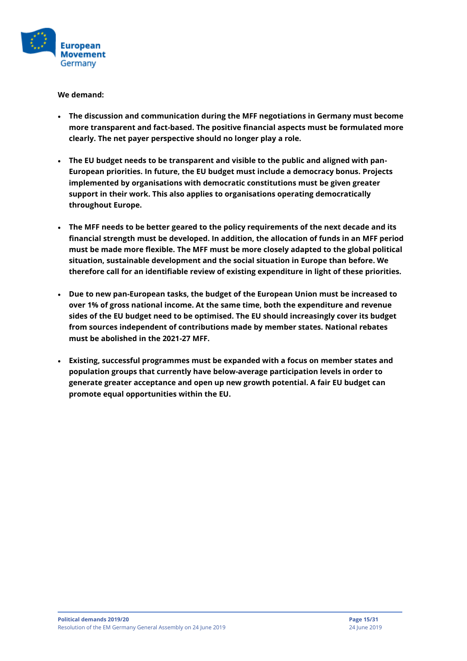

- **The discussion and communication during the MFF negotiations in Germany must become more transparent and fact-based. The positive financial aspects must be formulated more clearly. The net payer perspective should no longer play a role.**
- **The EU budget needs to be transparent and visible to the public and aligned with pan-European priorities. In future, the EU budget must include a democracy bonus. Projects implemented by organisations with democratic constitutions must be given greater support in their work. This also applies to organisations operating democratically throughout Europe.**
- **The MFF needs to be better geared to the policy requirements of the next decade and its financial strength must be developed. In addition, the allocation of funds in an MFF period must be made more flexible. The MFF must be more closely adapted to the global political situation, sustainable development and the social situation in Europe than before. We therefore call for an identifiable review of existing expenditure in light of these priorities.**
- **Due to new pan-European tasks, the budget of the European Union must be increased to over 1% of gross national income. At the same time, both the expenditure and revenue sides of the EU budget need to be optimised. The EU should increasingly cover its budget from sources independent of contributions made by member states. National rebates must be abolished in the 2021-27 MFF.**
- **Existing, successful programmes must be expanded with a focus on member states and population groups that currently have below-average participation levels in order to generate greater acceptance and open up new growth potential. A fair EU budget can promote equal opportunities within the EU.**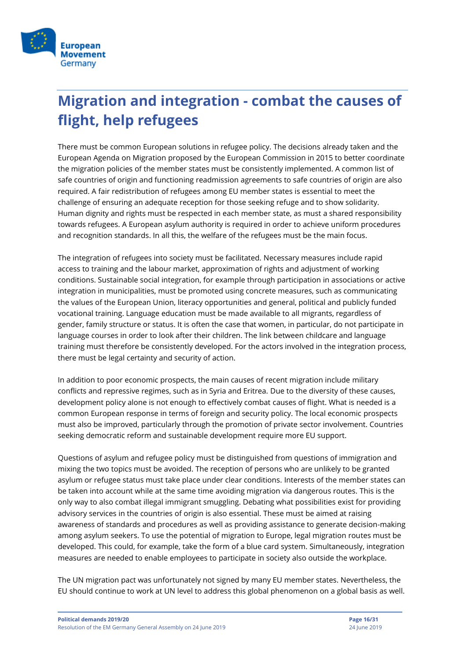

# <span id="page-15-0"></span>**Migration and integration - combat the causes of flight, help refugees**

There must be common European solutions in refugee policy. The decisions already taken and the European Agenda on Migration proposed by the European Commission in 2015 to better coordinate the migration policies of the member states must be consistently implemented. A common list of safe countries of origin and functioning readmission agreements to safe countries of origin are also required. A fair redistribution of refugees among EU member states is essential to meet the challenge of ensuring an adequate reception for those seeking refuge and to show solidarity. Human dignity and rights must be respected in each member state, as must a shared responsibility towards refugees. A European asylum authority is required in order to achieve uniform procedures and recognition standards. In all this, the welfare of the refugees must be the main focus.

The integration of refugees into society must be facilitated. Necessary measures include rapid access to training and the labour market, approximation of rights and adjustment of working conditions. Sustainable social integration, for example through participation in associations or active integration in municipalities, must be promoted using concrete measures, such as communicating the values of the European Union, literacy opportunities and general, political and publicly funded vocational training. Language education must be made available to all migrants, regardless of gender, family structure or status. It is often the case that women, in particular, do not participate in language courses in order to look after their children. The link between childcare and language training must therefore be consistently developed. For the actors involved in the integration process, there must be legal certainty and security of action.

In addition to poor economic prospects, the main causes of recent migration include military conflicts and repressive regimes, such as in Syria and Eritrea. Due to the diversity of these causes, development policy alone is not enough to effectively combat causes of flight. What is needed is a common European response in terms of foreign and security policy. The local economic prospects must also be improved, particularly through the promotion of private sector involvement. Countries seeking democratic reform and sustainable development require more EU support.

Questions of asylum and refugee policy must be distinguished from questions of immigration and mixing the two topics must be avoided. The reception of persons who are unlikely to be granted asylum or refugee status must take place under clear conditions. Interests of the member states can be taken into account while at the same time avoiding migration via dangerous routes. This is the only way to also combat illegal immigrant smuggling. Debating what possibilities exist for providing advisory services in the countries of origin is also essential. These must be aimed at raising awareness of standards and procedures as well as providing assistance to generate decision-making among asylum seekers. To use the potential of migration to Europe, legal migration routes must be developed. This could, for example, take the form of a blue card system. Simultaneously, integration measures are needed to enable employees to participate in society also outside the workplace.

The UN migration pact was unfortunately not signed by many EU member states. Nevertheless, the EU should continue to work at UN level to address this global phenomenon on a global basis as well.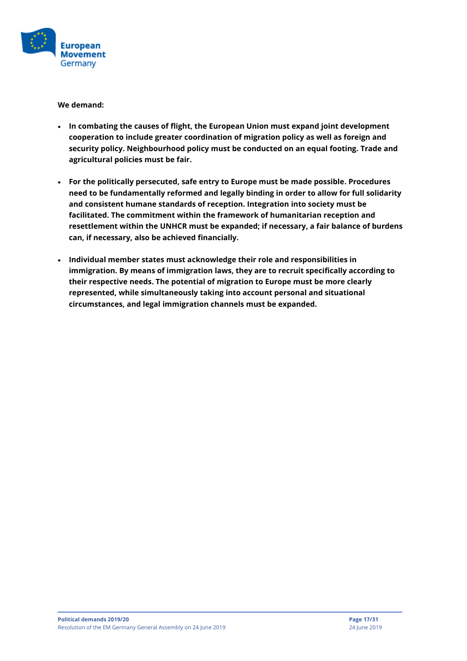

- **In combating the causes of flight, the European Union must expand joint development cooperation to include greater coordination of migration policy as well as foreign and security policy. Neighbourhood policy must be conducted on an equal footing. Trade and agricultural policies must be fair.**
- **For the politically persecuted, safe entry to Europe must be made possible. Procedures need to be fundamentally reformed and legally binding in order to allow for full solidarity and consistent humane standards of reception. Integration into society must be facilitated. The commitment within the framework of humanitarian reception and resettlement within the UNHCR must be expanded; if necessary, a fair balance of burdens can, if necessary, also be achieved financially.**
- **Individual member states must acknowledge their role and responsibilities in immigration. By means of immigration laws, they are to recruit specifically according to their respective needs. The potential of migration to Europe must be more clearly represented, while simultaneously taking into account personal and situational circumstances, and legal immigration channels must be expanded.**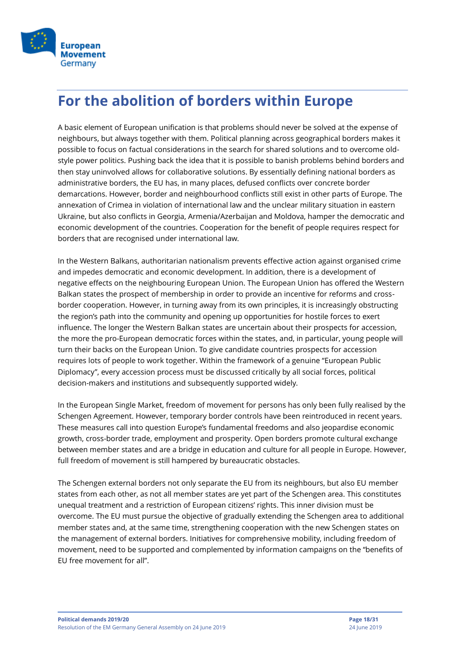

### <span id="page-17-0"></span>**For the abolition of borders within Europe**

A basic element of European unification is that problems should never be solved at the expense of neighbours, but always together with them. Political planning across geographical borders makes it possible to focus on factual considerations in the search for shared solutions and to overcome oldstyle power politics. Pushing back the idea that it is possible to banish problems behind borders and then stay uninvolved allows for collaborative solutions. By essentially defining national borders as administrative borders, the EU has, in many places, defused conflicts over concrete border demarcations. However, border and neighbourhood conflicts still exist in other parts of Europe. The annexation of Crimea in violation of international law and the unclear military situation in eastern Ukraine, but also conflicts in Georgia, Armenia/Azerbaijan and Moldova, hamper the democratic and economic development of the countries. Cooperation for the benefit of people requires respect for borders that are recognised under international law.

In the Western Balkans, authoritarian nationalism prevents effective action against organised crime and impedes democratic and economic development. In addition, there is a development of negative effects on the neighbouring European Union. The European Union has offered the Western Balkan states the prospect of membership in order to provide an incentive for reforms and crossborder cooperation. However, in turning away from its own principles, it is increasingly obstructing the region's path into the community and opening up opportunities for hostile forces to exert influence. The longer the Western Balkan states are uncertain about their prospects for accession, the more the pro-European democratic forces within the states, and, in particular, young people will turn their backs on the European Union. To give candidate countries prospects for accession requires lots of people to work together. Within the framework of a genuine "European Public Diplomacy", every accession process must be discussed critically by all social forces, political decision-makers and institutions and subsequently supported widely.

In the European Single Market, freedom of movement for persons has only been fully realised by the Schengen Agreement. However, temporary border controls have been reintroduced in recent years. These measures call into question Europe's fundamental freedoms and also jeopardise economic growth, cross-border trade, employment and prosperity. Open borders promote cultural exchange between member states and are a bridge in education and culture for all people in Europe. However, full freedom of movement is still hampered by bureaucratic obstacles.

The Schengen external borders not only separate the EU from its neighbours, but also EU member states from each other, as not all member states are yet part of the Schengen area. This constitutes unequal treatment and a restriction of European citizens' rights. This inner division must be overcome. The EU must pursue the objective of gradually extending the Schengen area to additional member states and, at the same time, strengthening cooperation with the new Schengen states on the management of external borders. Initiatives for comprehensive mobility, including freedom of movement, need to be supported and complemented by information campaigns on the "benefits of EU free movement for all".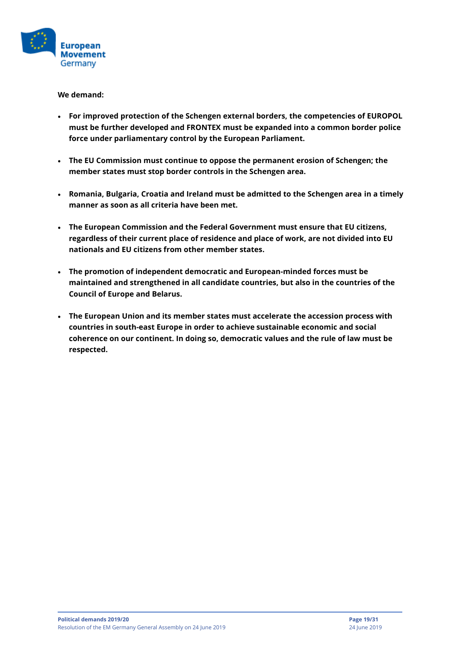

- **For improved protection of the Schengen external borders, the competencies of EUROPOL must be further developed and FRONTEX must be expanded into a common border police force under parliamentary control by the European Parliament.**
- **The EU Commission must continue to oppose the permanent erosion of Schengen; the member states must stop border controls in the Schengen area.**
- **Romania, Bulgaria, Croatia and Ireland must be admitted to the Schengen area in a timely manner as soon as all criteria have been met.**
- **The European Commission and the Federal Government must ensure that EU citizens, regardless of their current place of residence and place of work, are not divided into EU nationals and EU citizens from other member states.**
- **The promotion of independent democratic and European-minded forces must be maintained and strengthened in all candidate countries, but also in the countries of the Council of Europe and Belarus.**
- **The European Union and its member states must accelerate the accession process with countries in south-east Europe in order to achieve sustainable economic and social coherence on our continent. In doing so, democratic values and the rule of law must be respected.**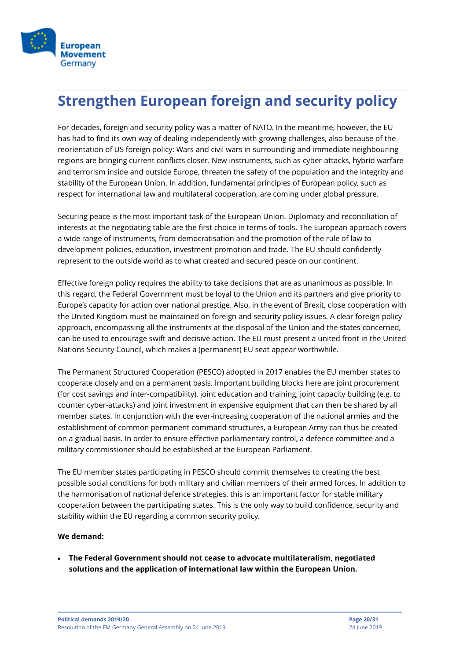

### <span id="page-19-0"></span>**Strengthen European foreign and security policy**

For decades, foreign and security policy was a matter of NATO. In the meantime, however, the EU has had to find its own way of dealing independently with growing challenges, also because of the reorientation of US foreign policy: Wars and civil wars in surrounding and immediate neighbouring regions are bringing current conflicts closer. New instruments, such as cyber-attacks, hybrid warfare and terrorism inside and outside Europe, threaten the safety of the population and the integrity and stability of the European Union. In addition, fundamental principles of European policy, such as respect for international law and multilateral cooperation, are coming under global pressure.

Securing peace is the most important task of the European Union. Diplomacy and reconciliation of interests at the negotiating table are the first choice in terms of tools. The European approach covers a wide range of instruments, from democratisation and the promotion of the rule of law to development policies, education, investment promotion and trade. The EU should confidently represent to the outside world as to what created and secured peace on our continent.

Effective foreign policy requires the ability to take decisions that are as unanimous as possible. In this regard, the Federal Government must be loyal to the Union and its partners and give priority to Europe's capacity for action over national prestige. Also, in the event of Brexit, close cooperation with the United Kingdom must be maintained on foreign and security policy issues. A clear foreign policy approach, encompassing all the instruments at the disposal of the Union and the states concerned, can be used to encourage swift and decisive action. The EU must present a united front in the United Nations Security Council, which makes a (permanent) EU seat appear worthwhile.

The Permanent Structured Cooperation (PESCO) adopted in 2017 enables the EU member states to cooperate closely and on a permanent basis. Important building blocks here are joint procurement (for cost savings and inter-compatibility), joint education and training, joint capacity building (e.g. to counter cyber-attacks) and joint investment in expensive equipment that can then be shared by all member states. In conjunction with the ever-increasing cooperation of the national armies and the establishment of common permanent command structures, a European Army can thus be created on a gradual basis. In order to ensure effective parliamentary control, a defence committee and a military commissioner should be established at the European Parliament.

The EU member states participating in PESCO should commit themselves to creating the best possible social conditions for both military and civilian members of their armed forces. In addition to the harmonisation of national defence strategies, this is an important factor for stable military cooperation between the participating states. This is the only way to build confidence, security and stability within the EU regarding a common security policy.

#### **We demand:**

• **The Federal Government should not cease to advocate multilateralism, negotiated solutions and the application of international law within the European Union.**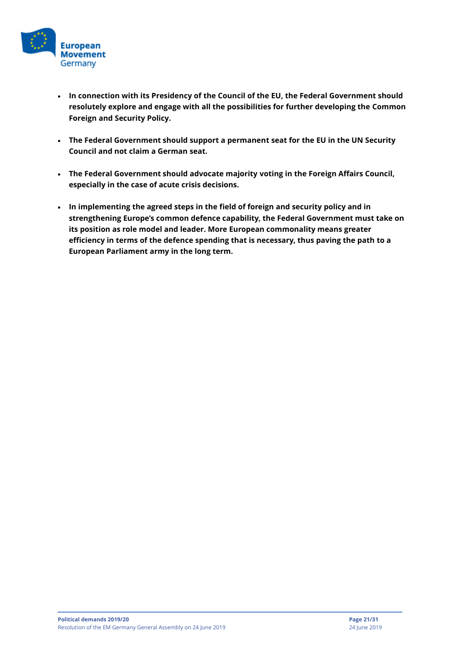

- **In connection with its Presidency of the Council of the EU, the Federal Government should resolutely explore and engage with all the possibilities for further developing the Common Foreign and Security Policy.**
- **The Federal Government should support a permanent seat for the EU in the UN Security Council and not claim a German seat.**
- **The Federal Government should advocate majority voting in the Foreign Affairs Council, especially in the case of acute crisis decisions.**
- **In implementing the agreed steps in the field of foreign and security policy and in strengthening Europe's common defence capability, the Federal Government must take on its position as role model and leader. More European commonality means greater efficiency in terms of the defence spending that is necessary, thus paving the path to a European Parliament army in the long term.**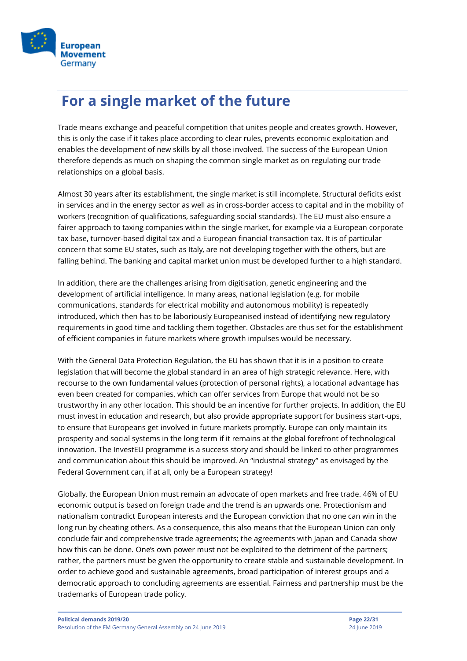

### <span id="page-21-0"></span>**For a single market of the future**

Trade means exchange and peaceful competition that unites people and creates growth. However, this is only the case if it takes place according to clear rules, prevents economic exploitation and enables the development of new skills by all those involved. The success of the European Union therefore depends as much on shaping the common single market as on regulating our trade relationships on a global basis.

Almost 30 years after its establishment, the single market is still incomplete. Structural deficits exist in services and in the energy sector as well as in cross-border access to capital and in the mobility of workers (recognition of qualifications, safeguarding social standards). The EU must also ensure a fairer approach to taxing companies within the single market, for example via a European corporate tax base, turnover-based digital tax and a European financial transaction tax. It is of particular concern that some EU states, such as Italy, are not developing together with the others, but are falling behind. The banking and capital market union must be developed further to a high standard.

In addition, there are the challenges arising from digitisation, genetic engineering and the development of artificial intelligence. In many areas, national legislation (e.g. for mobile communications, standards for electrical mobility and autonomous mobility) is repeatedly introduced, which then has to be laboriously Europeanised instead of identifying new regulatory requirements in good time and tackling them together. Obstacles are thus set for the establishment of efficient companies in future markets where growth impulses would be necessary.

With the General Data Protection Regulation, the EU has shown that it is in a position to create legislation that will become the global standard in an area of high strategic relevance. Here, with recourse to the own fundamental values (protection of personal rights), a locational advantage has even been created for companies, which can offer services from Europe that would not be so trustworthy in any other location. This should be an incentive for further projects. In addition, the EU must invest in education and research, but also provide appropriate support for business start-ups, to ensure that Europeans get involved in future markets promptly. Europe can only maintain its prosperity and social systems in the long term if it remains at the global forefront of technological innovation. The InvestEU programme is a success story and should be linked to other programmes and communication about this should be improved. An "industrial strategy" as envisaged by the Federal Government can, if at all, only be a European strategy!

Globally, the European Union must remain an advocate of open markets and free trade. 46% of EU economic output is based on foreign trade and the trend is an upwards one. Protectionism and nationalism contradict European interests and the European conviction that no one can win in the long run by cheating others. As a consequence, this also means that the European Union can only conclude fair and comprehensive trade agreements; the agreements with Japan and Canada show how this can be done. One's own power must not be exploited to the detriment of the partners; rather, the partners must be given the opportunity to create stable and sustainable development. In order to achieve good and sustainable agreements, broad participation of interest groups and a democratic approach to concluding agreements are essential. Fairness and partnership must be the trademarks of European trade policy.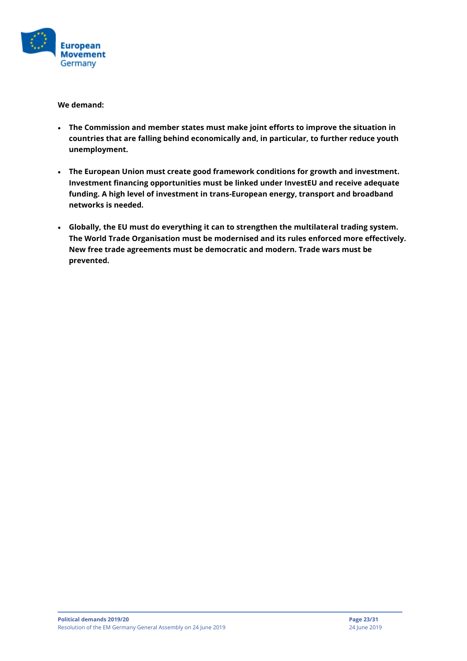

- **The Commission and member states must make joint efforts to improve the situation in countries that are falling behind economically and, in particular, to further reduce youth unemployment.**
- **The European Union must create good framework conditions for growth and investment. Investment financing opportunities must be linked under InvestEU and receive adequate funding. A high level of investment in trans-European energy, transport and broadband networks is needed.**
- **Globally, the EU must do everything it can to strengthen the multilateral trading system. The World Trade Organisation must be modernised and its rules enforced more effectively. New free trade agreements must be democratic and modern. Trade wars must be prevented.**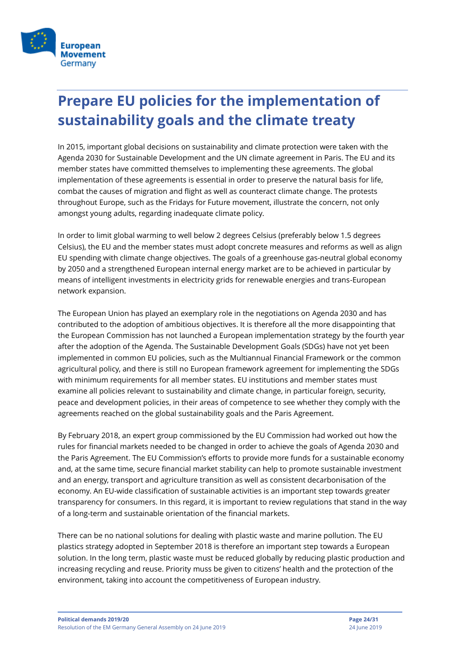

# <span id="page-23-0"></span>**Prepare EU policies for the implementation of sustainability goals and the climate treaty**

In 2015, important global decisions on sustainability and climate protection were taken with the Agenda 2030 for Sustainable Development and the UN climate agreement in Paris. The EU and its member states have committed themselves to implementing these agreements. The global implementation of these agreements is essential in order to preserve the natural basis for life, combat the causes of migration and flight as well as counteract climate change. The protests throughout Europe, such as the Fridays for Future movement, illustrate the concern, not only amongst young adults, regarding inadequate climate policy.

In order to limit global warming to well below 2 degrees Celsius (preferably below 1.5 degrees Celsius), the EU and the member states must adopt concrete measures and reforms as well as align EU spending with climate change objectives. The goals of a greenhouse gas-neutral global economy by 2050 and a strengthened European internal energy market are to be achieved in particular by means of intelligent investments in electricity grids for renewable energies and trans-European network expansion.

The European Union has played an exemplary role in the negotiations on Agenda 2030 and has contributed to the adoption of ambitious objectives. It is therefore all the more disappointing that the European Commission has not launched a European implementation strategy by the fourth year after the adoption of the Agenda. The Sustainable Development Goals (SDGs) have not yet been implemented in common EU policies, such as the Multiannual Financial Framework or the common agricultural policy, and there is still no European framework agreement for implementing the SDGs with minimum requirements for all member states. EU institutions and member states must examine all policies relevant to sustainability and climate change, in particular foreign, security, peace and development policies, in their areas of competence to see whether they comply with the agreements reached on the global sustainability goals and the Paris Agreement.

By February 2018, an expert group commissioned by the EU Commission had worked out how the rules for financial markets needed to be changed in order to achieve the goals of Agenda 2030 and the Paris Agreement. The EU Commission's efforts to provide more funds for a sustainable economy and, at the same time, secure financial market stability can help to promote sustainable investment and an energy, transport and agriculture transition as well as consistent decarbonisation of the economy. An EU-wide classification of sustainable activities is an important step towards greater transparency for consumers. In this regard, it is important to review regulations that stand in the way of a long-term and sustainable orientation of the financial markets.

There can be no national solutions for dealing with plastic waste and marine pollution. The EU plastics strategy adopted in September 2018 is therefore an important step towards a European solution. In the long term, plastic waste must be reduced globally by reducing plastic production and increasing recycling and reuse. Priority muss be given to citizens' health and the protection of the environment, taking into account the competitiveness of European industry.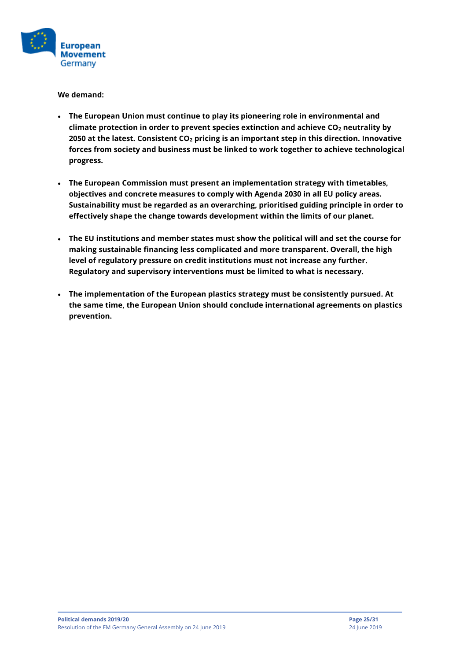

- **The European Union must continue to play its pioneering role in environmental and climate protection in order to prevent species extinction and achieve CO<sup>2</sup> neutrality by 2050 at the latest. Consistent CO<sup>2</sup> pricing is an important step in this direction. Innovative forces from society and business must be linked to work together to achieve technological progress.**
- **The European Commission must present an implementation strategy with timetables, objectives and concrete measures to comply with Agenda 2030 in all EU policy areas. Sustainability must be regarded as an overarching, prioritised guiding principle in order to effectively shape the change towards development within the limits of our planet.**
- **The EU institutions and member states must show the political will and set the course for making sustainable financing less complicated and more transparent. Overall, the high level of regulatory pressure on credit institutions must not increase any further. Regulatory and supervisory interventions must be limited to what is necessary.**
- **The implementation of the European plastics strategy must be consistently pursued. At the same time, the European Union should conclude international agreements on plastics prevention.**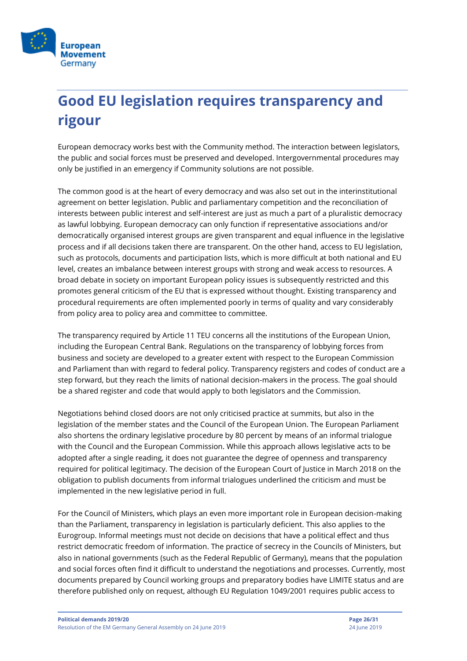

# <span id="page-25-0"></span>**Good EU legislation requires transparency and rigour**

European democracy works best with the Community method. The interaction between legislators, the public and social forces must be preserved and developed. Intergovernmental procedures may only be justified in an emergency if Community solutions are not possible.

The common good is at the heart of every democracy and was also set out in the interinstitutional agreement on better legislation. Public and parliamentary competition and the reconciliation of interests between public interest and self-interest are just as much a part of a pluralistic democracy as lawful lobbying. European democracy can only function if representative associations and/or democratically organised interest groups are given transparent and equal influence in the legislative process and if all decisions taken there are transparent. On the other hand, access to EU legislation, such as protocols, documents and participation lists, which is more difficult at both national and EU level, creates an imbalance between interest groups with strong and weak access to resources. A broad debate in society on important European policy issues is subsequently restricted and this promotes general criticism of the EU that is expressed without thought. Existing transparency and procedural requirements are often implemented poorly in terms of quality and vary considerably from policy area to policy area and committee to committee.

The transparency required by Article 11 TEU concerns all the institutions of the European Union, including the European Central Bank. Regulations on the transparency of lobbying forces from business and society are developed to a greater extent with respect to the European Commission and Parliament than with regard to federal policy. Transparency registers and codes of conduct are a step forward, but they reach the limits of national decision-makers in the process. The goal should be a shared register and code that would apply to both legislators and the Commission.

Negotiations behind closed doors are not only criticised practice at summits, but also in the legislation of the member states and the Council of the European Union. The European Parliament also shortens the ordinary legislative procedure by 80 percent by means of an informal trialogue with the Council and the European Commission. While this approach allows legislative acts to be adopted after a single reading, it does not guarantee the degree of openness and transparency required for political legitimacy. The decision of the European Court of Justice in March 2018 on the obligation to publish documents from informal trialogues underlined the criticism and must be implemented in the new legislative period in full.

For the Council of Ministers, which plays an even more important role in European decision-making than the Parliament, transparency in legislation is particularly deficient. This also applies to the Eurogroup. Informal meetings must not decide on decisions that have a political effect and thus restrict democratic freedom of information. The practice of secrecy in the Councils of Ministers, but also in national governments (such as the Federal Republic of Germany), means that the population and social forces often find it difficult to understand the negotiations and processes. Currently, most documents prepared by Council working groups and preparatory bodies have LIMITE status and are therefore published only on request, although EU Regulation 1049/2001 requires public access to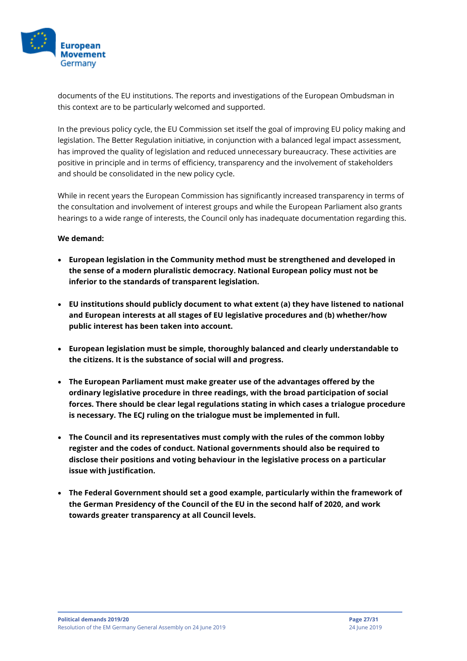

documents of the EU institutions. The reports and investigations of the European Ombudsman in this context are to be particularly welcomed and supported.

In the previous policy cycle, the EU Commission set itself the goal of improving EU policy making and legislation. The Better Regulation initiative, in conjunction with a balanced legal impact assessment, has improved the quality of legislation and reduced unnecessary bureaucracy. These activities are positive in principle and in terms of efficiency, transparency and the involvement of stakeholders and should be consolidated in the new policy cycle.

While in recent years the European Commission has significantly increased transparency in terms of the consultation and involvement of interest groups and while the European Parliament also grants hearings to a wide range of interests, the Council only has inadequate documentation regarding this.

- **European legislation in the Community method must be strengthened and developed in the sense of a modern pluralistic democracy. National European policy must not be inferior to the standards of transparent legislation.**
- **EU institutions should publicly document to what extent (a) they have listened to national and European interests at all stages of EU legislative procedures and (b) whether/how public interest has been taken into account.**
- **European legislation must be simple, thoroughly balanced and clearly understandable to the citizens. It is the substance of social will and progress.**
- **The European Parliament must make greater use of the advantages offered by the ordinary legislative procedure in three readings, with the broad participation of social forces. There should be clear legal regulations stating in which cases a trialogue procedure is necessary. The ECJ ruling on the trialogue must be implemented in full.**
- **The Council and its representatives must comply with the rules of the common lobby register and the codes of conduct. National governments should also be required to disclose their positions and voting behaviour in the legislative process on a particular issue with justification.**
- **The Federal Government should set a good example, particularly within the framework of the German Presidency of the Council of the EU in the second half of 2020, and work towards greater transparency at all Council levels.**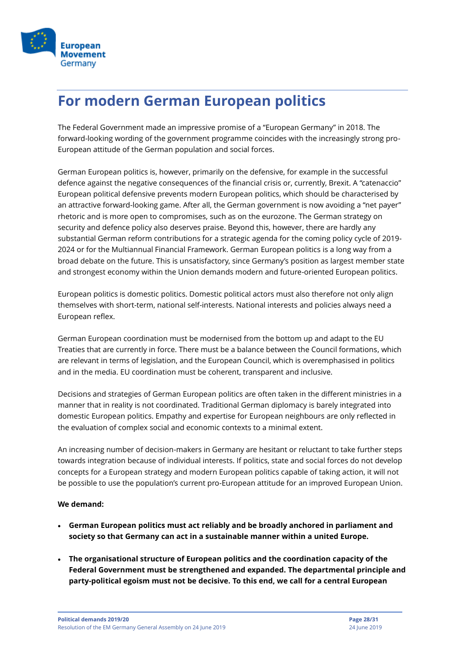

### <span id="page-27-0"></span>**For modern German European politics**

The Federal Government made an impressive promise of a "European Germany" in 2018. The forward-looking wording of the government programme coincides with the increasingly strong pro-European attitude of the German population and social forces.

German European politics is, however, primarily on the defensive, for example in the successful defence against the negative consequences of the financial crisis or, currently, Brexit. A "catenaccio" European political defensive prevents modern European politics, which should be characterised by an attractive forward-looking game. After all, the German government is now avoiding a "net payer" rhetoric and is more open to compromises, such as on the eurozone. The German strategy on security and defence policy also deserves praise. Beyond this, however, there are hardly any substantial German reform contributions for a strategic agenda for the coming policy cycle of 2019- 2024 or for the Multiannual Financial Framework. German European politics is a long way from a broad debate on the future. This is unsatisfactory, since Germany's position as largest member state and strongest economy within the Union demands modern and future-oriented European politics.

European politics is domestic politics. Domestic political actors must also therefore not only align themselves with short-term, national self-interests. National interests and policies always need a European reflex.

German European coordination must be modernised from the bottom up and adapt to the EU Treaties that are currently in force. There must be a balance between the Council formations, which are relevant in terms of legislation, and the European Council, which is overemphasised in politics and in the media. EU coordination must be coherent, transparent and inclusive.

Decisions and strategies of German European politics are often taken in the different ministries in a manner that in reality is not coordinated. Traditional German diplomacy is barely integrated into domestic European politics. Empathy and expertise for European neighbours are only reflected in the evaluation of complex social and economic contexts to a minimal extent.

An increasing number of decision-makers in Germany are hesitant or reluctant to take further steps towards integration because of individual interests. If politics, state and social forces do not develop concepts for a European strategy and modern European politics capable of taking action, it will not be possible to use the population's current pro-European attitude for an improved European Union.

- **German European politics must act reliably and be broadly anchored in parliament and society so that Germany can act in a sustainable manner within a united Europe.**
- **The organisational structure of European politics and the coordination capacity of the Federal Government must be strengthened and expanded. The departmental principle and party-political egoism must not be decisive. To this end, we call for a central European**